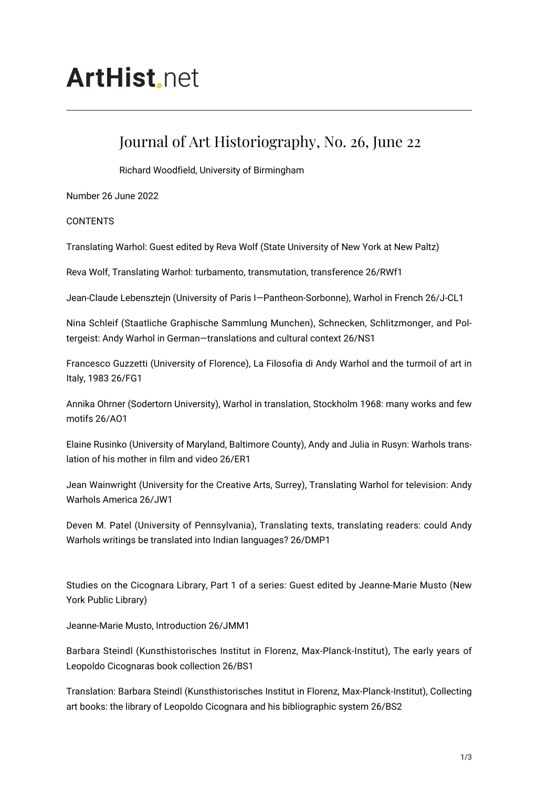# **ArtHist** net

## Journal of Art Historiography, No. 26, June 22

Richard Woodfield, University of Birmingham

Number 26 June 2022

**CONTENTS** 

Translating Warhol: Guest edited by Reva Wolf (State University of New York at New Paltz)

Reva Wolf, Translating Warhol: turbamento, transmutation, transference 26/RWf1

Jean-Claude Lebensztejn (University of Paris I—Pantheon-Sorbonne), Warhol in French 26/J-CL1

Nina Schleif (Staatliche Graphische Sammlung Munchen), Schnecken, Schlitzmonger, and Poltergeist: Andy Warhol in German—translations and cultural context 26/NS1

Francesco Guzzetti (University of Florence), La Filosofia di Andy Warhol and the turmoil of art in Italy, 1983 26/FG1

Annika Ohrner (Sodertorn University), Warhol in translation, Stockholm 1968: many works and few motifs 26/AO1

Elaine Rusinko (University of Maryland, Baltimore County), Andy and Julia in Rusyn: Warhols translation of his mother in film and video 26/ER1

Jean Wainwright (University for the Creative Arts, Surrey), Translating Warhol for television: Andy Warhols America 26/JW1

Deven M. Patel (University of Pennsylvania), Translating texts, translating readers: could Andy Warhols writings be translated into Indian languages? 26/DMP1

Studies on the Cicognara Library, Part 1 of a series: Guest edited by Jeanne-Marie Musto (New York Public Library)

Jeanne-Marie Musto, Introduction 26/JMM1

Barbara Steindl (Kunsthistorisches Institut in Florenz, Max-Planck-Institut), The early years of Leopoldo Cicognaras book collection 26/BS1

Translation: Barbara Steindl (Kunsthistorisches Institut in Florenz, Max-Planck-Institut), Collecting art books: the library of Leopoldo Cicognara and his bibliographic system 26/BS2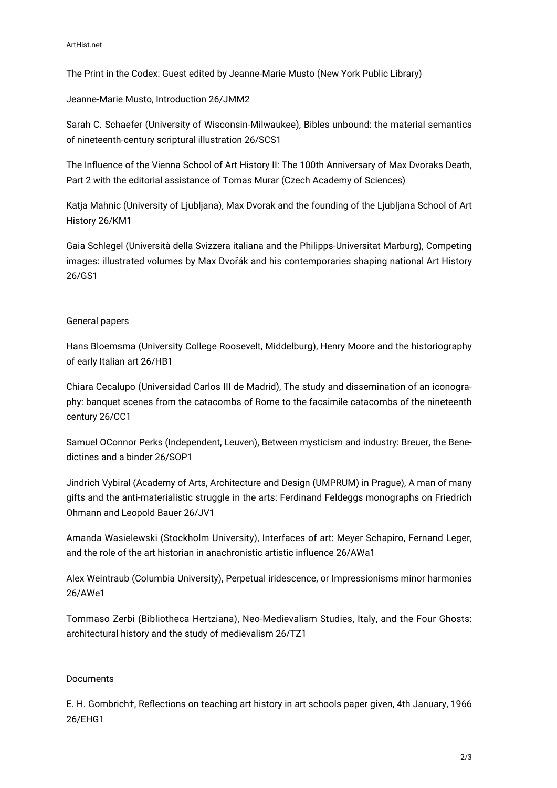The Print in the Codex: Guest edited by Jeanne-Marie Musto (New York Public Library)

Jeanne-Marie Musto, Introduction 26/JMM2

Sarah C. Schaefer (University of Wisconsin-Milwaukee), Bibles unbound: the material semantics of nineteenth-century scriptural illustration 26/SCS1

The Influence of the Vienna School of Art History II: The 100th Anniversary of Max Dvoraks Death, Part 2 with the editorial assistance of Tomas Murar (Czech Academy of Sciences)

Katja Mahnic (University of Ljubljana), Max Dvorak and the founding of the Ljubljana School of Art History 26/KM1

Gaia Schlegel (Università della Svizzera italiana and the Philipps-Universitat Marburg), Competing images: illustrated volumes by Max Dvořák and his contemporaries shaping national Art History 26/GS1

### General papers

Hans Bloemsma (University College Roosevelt, Middelburg), Henry Moore and the historiography of early Italian art 26/HB1

Chiara Cecalupo (Universidad Carlos III de Madrid), The study and dissemination of an iconography: banquet scenes from the catacombs of Rome to the facsimile catacombs of the nineteenth century 26/CC1

Samuel OConnor Perks (Independent, Leuven), Between mysticism and industry: Breuer, the Benedictines and a binder 26/SOP1

Jindrich Vybiral (Academy of Arts, Architecture and Design (UMPRUM) in Prague), A man of many gifts and the anti-materialistic struggle in the arts: Ferdinand Feldeggs monographs on Friedrich Ohmann and Leopold Bauer 26/JV1

Amanda Wasielewski (Stockholm University), Interfaces of art: Meyer Schapiro, Fernand Leger, and the role of the art historian in anachronistic artistic influence 26/AWa1

Alex Weintraub (Columbia University), Perpetual iridescence, or Impressionisms minor harmonies 26/AWe1

Tommaso Zerbi (Bibliotheca Hertziana), Neo-Medievalism Studies, Italy, and the Four Ghosts: architectural history and the study of medievalism 26/TZ1

#### Documents

E. H. Gombrich†, Reflections on teaching art history in art schools paper given, 4th January, 1966 26/EHG1